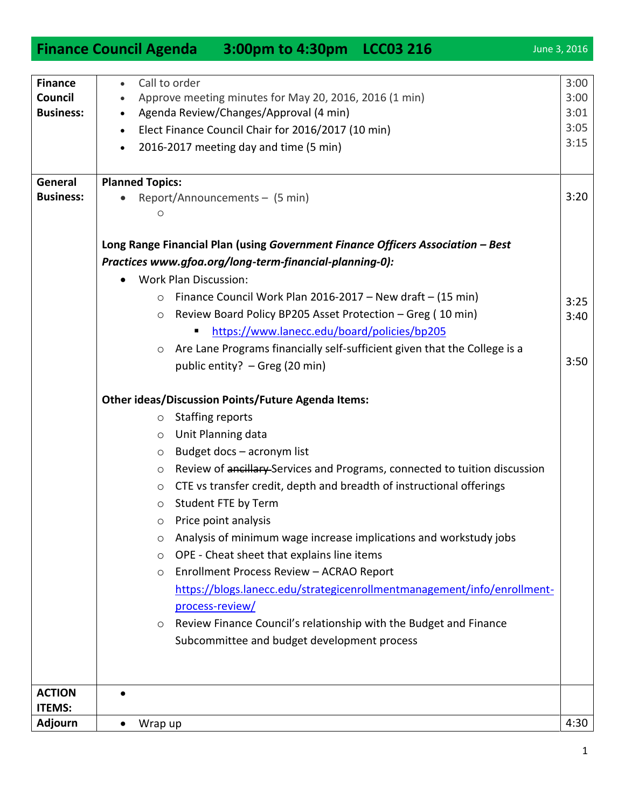|                                                      | <b>Finance Council Agenda 3:00pm to 4:30pm LCC03 216</b>                                                                                                                                                                                    | June 3, 2016                         |
|------------------------------------------------------|---------------------------------------------------------------------------------------------------------------------------------------------------------------------------------------------------------------------------------------------|--------------------------------------|
| <b>Finance</b><br><b>Council</b><br><b>Business:</b> | Call to order<br>$\bullet$<br>Approve meeting minutes for May 20, 2016, 2016 (1 min)<br>Agenda Review/Changes/Approval (4 min)<br>$\bullet$<br>Elect Finance Council Chair for 2016/2017 (10 min)<br>2016-2017 meeting day and time (5 min) | 3:00<br>3:00<br>3:01<br>3:05<br>3:15 |
| General                                              | <b>Planned Topics:</b>                                                                                                                                                                                                                      |                                      |
| <b>Business:</b>                                     | Report/Announcements - (5 min)<br>$\circ$                                                                                                                                                                                                   | 3:20                                 |
|                                                      | Long Range Financial Plan (using Government Finance Officers Association - Best                                                                                                                                                             |                                      |
|                                                      | Practices www.gfoa.org/long-term-financial-planning-0):<br><b>Work Plan Discussion:</b><br>$\bullet$                                                                                                                                        |                                      |
|                                                      | Finance Council Work Plan 2016-2017 – New draft – $(15 \text{ min})$<br>$\circ$                                                                                                                                                             |                                      |
|                                                      | Review Board Policy BP205 Asset Protection - Greg (10 min)<br>$\circ$                                                                                                                                                                       | 3:25                                 |
|                                                      | https://www.lanecc.edu/board/policies/bp205                                                                                                                                                                                                 | 3:40                                 |
|                                                      | Are Lane Programs financially self-sufficient given that the College is a<br>$\circ$                                                                                                                                                        |                                      |
|                                                      | public entity? - Greg (20 min)                                                                                                                                                                                                              | 3:50                                 |
|                                                      | <b>Other ideas/Discussion Points/Future Agenda Items:</b>                                                                                                                                                                                   |                                      |
|                                                      | <b>Staffing reports</b><br>$\circ$                                                                                                                                                                                                          |                                      |
|                                                      | Unit Planning data<br>$\circ$                                                                                                                                                                                                               |                                      |
|                                                      | Budget docs - acronym list<br>$\circ$                                                                                                                                                                                                       |                                      |
|                                                      | Review of ancillary-Services and Programs, connected to tuition discussion<br>$\circ$                                                                                                                                                       |                                      |
|                                                      | CTE vs transfer credit, depth and breadth of instructional offerings<br>$\circ$                                                                                                                                                             |                                      |
|                                                      | Student FTE by Term<br>$\circ$                                                                                                                                                                                                              |                                      |
|                                                      | Price point analysis<br>$\circ$                                                                                                                                                                                                             |                                      |
|                                                      | Analysis of minimum wage increase implications and workstudy jobs<br>$\circ$                                                                                                                                                                |                                      |
|                                                      | OPE - Cheat sheet that explains line items<br>$\circ$                                                                                                                                                                                       |                                      |
|                                                      | Enrollment Process Review - ACRAO Report<br>$\circ$                                                                                                                                                                                         |                                      |
|                                                      | https://blogs.lanecc.edu/strategicenrollmentmanagement/info/enrollment-                                                                                                                                                                     |                                      |
|                                                      | process-review/                                                                                                                                                                                                                             |                                      |
|                                                      | Review Finance Council's relationship with the Budget and Finance<br>$\circ$<br>Subcommittee and budget development process                                                                                                                 |                                      |
|                                                      |                                                                                                                                                                                                                                             |                                      |
|                                                      |                                                                                                                                                                                                                                             |                                      |
| <b>ACTION</b><br><b>ITEMS:</b>                       |                                                                                                                                                                                                                                             |                                      |
| Adjourn                                              | Wrap up<br>$\bullet$                                                                                                                                                                                                                        | 4:30                                 |